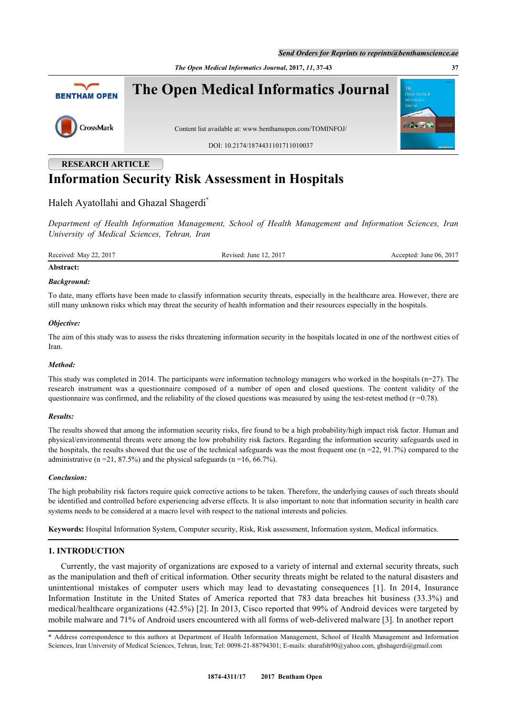*The Open Medical Informatics Journal***, 2017,** *11***, 37-43 37**



# **RESEARCH ARTICLE Information Security Risk Assessment in Hospitals**

## Haleh Avatollahi and Ghazal Shagerdi<sup>[\\*](#page-0-0)</sup>

*Department of Health Information Management, School of Health Management and Information Sciences, Iran University of Medical Sciences, Tehran, Iran*

Received: May 22, 2017 Revised: June 12, 2017 Revised: June 12, 2017 Accepted: June 06, 2017

## **Abstract:**

#### *Background:*

To date, many efforts have been made to classify information security threats, especially in the healthcare area. However, there are still many unknown risks which may threat the security of health information and their resources especially in the hospitals.

#### *Objective:*

The aim of this study was to assess the risks threatening information security in the hospitals located in one of the northwest cities of Iran.

#### *Method:*

This study was completed in 2014. The participants were information technology managers who worked in the hospitals (n=27). The research instrument was a questionnaire composed of a number of open and closed questions. The content validity of the questionnaire was confirmed, and the reliability of the closed questions was measured by using the test-retest method  $(r=0.78)$ .

#### *Results:*

The results showed that among the information security risks, fire found to be a high probability/high impact risk factor. Human and physical/environmental threats were among the low probability risk factors. Regarding the information security safeguards used in the hospitals, the results showed that the use of the technical safeguards was the most frequent one ( $n = 22, 91.7\%$ ) compared to the administrative ( $n = 21, 87.5\%$ ) and the physical safeguards ( $n = 16, 66.7\%$ ).

#### *Conclusion:*

The high probability risk factors require quick corrective actions to be taken. Therefore, the underlying causes of such threats should be identified and controlled before experiencing adverse effects. It is also important to note that information security in health care systems needs to be considered at a macro level with respect to the national interests and policies.

**Keywords:** Hospital Information System, Computer security, Risk, Risk assessment, Information system, Medical informatics.

#### **1. INTRODUCTION**

Currently, the vast majority of organizations are exposed to a variety of internal and external security threats, such as the manipulation and theft of critical information. Other security threats might be related to the natural disasters and unintentional mistakes of computer users which may lead to devastating consequences[[1\]](#page-5-0). In 2014, Insurance Information Institute in the United States of America reported that 783 data breaches hit business (33.3%) and medical/healthcare organizations (42.5%) [\[2](#page-5-1)]. In 2013, Cisco reported that 99% of Android devices were targeted by mobile malware and 71% of Android users encountered with all forms of web-delivered malware [\[3](#page-5-2)]. In another report

<span id="page-0-0"></span>\* Address correspondence to this authors at Department of Health Information Management, School of Health Management and Information Sciences, Iran University of Medical Sciences, Tehran, Iran; Tel: 0098-21-88794301; E-mails: [sharafsh90@yahoo.com,](mailto:sharafsh90@yahoo.com) [ghshagerdi@gmail.com](mailto:ghshagerdi@gmail.com)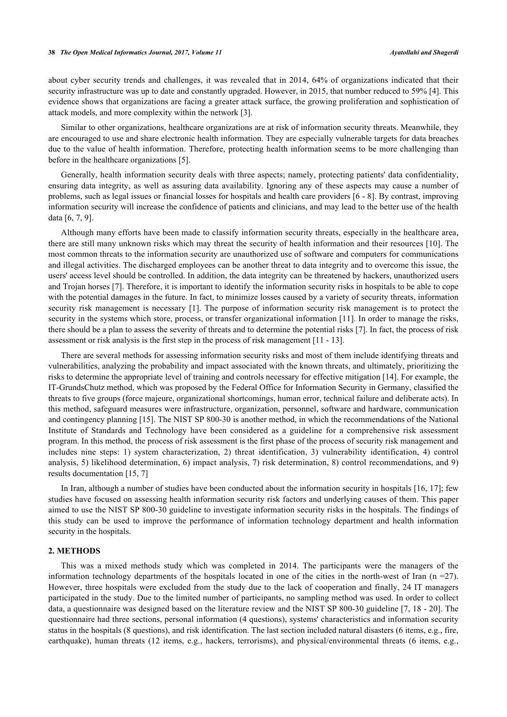about cyber security trends and challenges, it was revealed that in 2014, 64% of organizations indicated that their security infrastructure was up to date and constantly upgraded. However, in 2015, that number reduced to 59% [\[4](#page-5-3)]. This evidence shows that organizations are facing a greater attack surface, the growing proliferation and sophistication of attack models, and more complexity within the network [[3\]](#page-5-2).

Similar to other organizations, healthcare organizations are at risk of information security threats. Meanwhile, they are encouraged to use and share electronic health information. They are especially vulnerable targets for data breaches due to the value of health information. Therefore, protecting health information seems to be more challenging than before in the healthcare organizations [\[5](#page-5-4)].

Generally, health information security deals with three aspects; namely, protecting patients' data confidentiality, ensuring data integrity, as well as assuring data availability. Ignoring any of these aspects may cause a number of problems, such as legal issues or financial losses for hospitals and health care providers [[6](#page-5-5) - [8](#page-5-6)]. By contrast, improving information security will increase the confidence of patients and clinicians, and may lead to the better use of the health data [\[6](#page-5-5), [7](#page-5-7), [9](#page-5-8)].

Although many efforts have been made to classify information security threats, especially in the healthcare area, there are still many unknown risks which may threat the security of health information and their resources [[10\]](#page-5-9). The most common threats to the information security are unauthorized use of software and computers for communications and illegal activities. The discharged employees can be another threat to data integrity and to overcome this issue, the users' access level should be controlled. In addition, the data integrity can be threatened by hackers, unauthorized users and Trojan horses [[7](#page-5-7)]. Therefore, it is important to identify the information security risks in hospitals to be able to cope with the potential damages in the future. In fact, to minimize losses caused by a variety of security threats, information security risk management is necessary [\[1\]](#page-5-0). The purpose of information security risk management is to protect the security in the systems which store, process, or transfer organizational information [[11](#page-5-10)]. In order to manage the risks, there should be a plan to assess the severity of threats and to determine the potential risks [[7\]](#page-5-7). In fact, the process of risk assessment or risk analysis is the first step in the process of risk management [[11](#page-5-10) - [13\]](#page-5-11).

There are several methods for assessing information security risks and most of them include identifying threats and vulnerabilities, analyzing the probability and impact associated with the known threats, and ultimately, prioritizing the risks to determine the appropriate level of training and controls necessary for effective mitigation [[14\]](#page-5-12). For example, the IT-GrundsChutz method, which was proposed by the Federal Office for Information Security in Germany, classified the threats to five groups (force majeure, organizational shortcomings, human error, technical failure and deliberate acts). In this method, safeguard measures were infrastructure, organization, personnel, software and hardware, communication and contingency planning [[15\]](#page-5-13). The NIST SP 800-30 is another method, in which the recommendations of the National Institute of Standards and Technology have been considered as a guideline for a comprehensive risk assessment program. In this method, the process of risk assessment is the first phase of the process of security risk management and includes nine steps: 1) system characterization, 2) threat identification, 3) vulnerability identification, 4) control analysis, 5) likelihood determination, 6) impact analysis, 7) risk determination, 8) control recommendations, and 9) results documentation [[15,](#page-5-13) [7\]](#page-5-7)

In Iran, although a number of studies have been conducted about the information security in hospitals [\[16](#page-5-14), [17\]](#page-5-15); few studies have focused on assessing health information security risk factors and underlying causes of them. This paper aimed to use the NIST SP 800-30 guideline to investigate information security risks in the hospitals. The findings of this study can be used to improve the performance of information technology department and health information security in the hospitals.

#### **2. METHODS**

This was a mixed methods study which was completed in 2014. The participants were the managers of the information technology departments of the hospitals located in one of the cities in the north-west of Iran  $(n = 27)$ . However, three hospitals were excluded from the study due to the lack of cooperation and finally, 24 IT managers participated in the study. Due to the limited number of participants, no sampling method was used. In order to collect data, a questionnaire was designed based on the literature review and the NIST SP 800-30 guideline [\[7](#page-5-7), [18](#page-5-16) - [20](#page-6-0)]. The questionnaire had three sections, personal information (4 questions), systems' characteristics and information security status in the hospitals (8 questions), and risk identification. The last section included natural disasters (6 items, e.g., fire, earthquake), human threats (12 items, e.g., hackers, terrorisms), and physical/environmental threats (6 items, e.g.,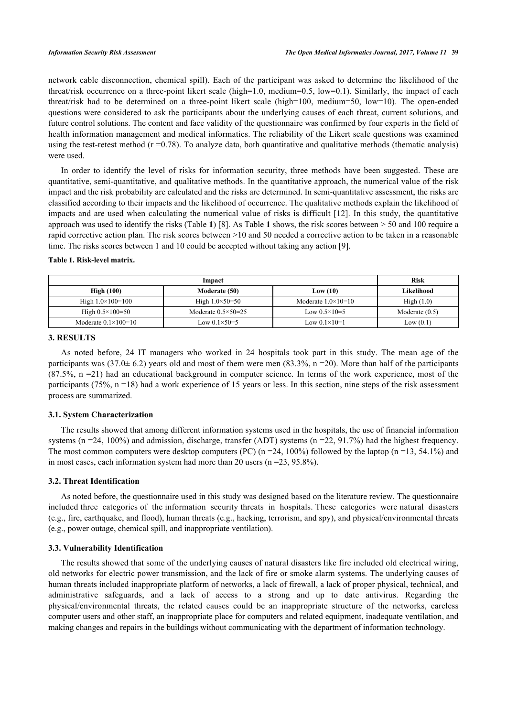network cable disconnection, chemical spill). Each of the participant was asked to determine the likelihood of the threat/risk occurrence on a three-point likert scale (high=1.0, medium=0.5, low=0.1). Similarly, the impact of each threat/risk had to be determined on a three-point likert scale (high=100, medium=50, low=10). The open-ended questions were considered to ask the participants about the underlying causes of each threat, current solutions, and future control solutions. The content and face validity of the questionnaire was confirmed by four experts in the field of health information management and medical informatics. The reliability of the Likert scale questions was examined using the test-retest method  $(r = 0.78)$ . To analyze data, both quantitative and qualitative methods (thematic analysis) were used.

In order to identify the level of risks for information security, three methods have been suggested. These are quantitative, semi-quantitative, and qualitative methods. In the quantitative approach, the numerical value of the risk impact and the risk probability are calculated and the risks are determined. In semi-quantitative assessment, the risks are classified according to their impacts and the likelihood of occurrence. The qualitative methods explain the likelihood of impacts and are used when calculating the numerical value of risks is difficult [\[12\]](#page-5-17). In this study, the quantitative approach was used to identify the risks (Table **[1](#page-2-0)**) [[8\]](#page-5-6). As Table **[1](#page-2-0)** shows, the risk scores between > 50 and 100 require a rapid corrective action plan. The risk scores between >10 and 50 needed a corrective action to be taken in a reasonable time. The risks scores between 1 and 10 could be accepted without taking any action [\[9](#page-5-8)].

#### <span id="page-2-0"></span>**Table 1. Risk-level matrix.**

| Impact                         |                               |                           | <b>Risk</b>      |
|--------------------------------|-------------------------------|---------------------------|------------------|
| High(100)                      | Moderate (50)                 | Low (10)                  | Likelihood       |
| High $1.0 \times 100 = 100$    | High $1.0 \times 50 = 50$     | Moderate $1.0\times10=10$ | High $(1.0)$     |
| High $0.5 \times 100 = 50$     | Moderate $0.5 \times 50 = 25$ | Low $0.5 \times 10 = 5$   | Moderate $(0.5)$ |
| Moderate $0.1 \times 100 = 10$ | Low $0.1 \times 50 = 5$       | Low $0.1 \times 10 = 1$   | Low $(0.1)$      |

#### **3. RESULTS**

As noted before, 24 IT managers who worked in 24 hospitals took part in this study. The mean age of the participants was (37.0 $\pm$  6.2) years old and most of them were men (83.3%, n = 20). More than half of the participants  $(87.5\% \text{ n} = 21)$  had an educational background in computer science. In terms of the work experience, most of the participants (75%, n =18) had a work experience of 15 years or less. In this section, nine steps of the risk assessment process are summarized.

#### **3.1. System Characterization**

The results showed that among different information systems used in the hospitals, the use of financial information systems (n =24, 100%) and admission, discharge, transfer (ADT) systems (n =22, 91.7%) had the highest frequency. The most common computers were desktop computers (PC)  $(n = 24, 100\%)$  followed by the laptop  $(n = 13, 54.1\%)$  and in most cases, each information system had more than 20 users (n =23, 95.8%).

#### **3.2. Threat Identification**

As noted before, the questionnaire used in this study was designed based on the literature review. The questionnaire included three categories of the information security threats in hospitals. These categories were natural disasters (e.g., fire, earthquake, and flood), human threats (e.g., hacking, terrorism, and spy), and physical/environmental threats (e.g., power outage, chemical spill, and inappropriate ventilation).

#### **3.3. Vulnerability Identification**

The results showed that some of the underlying causes of natural disasters like fire included old electrical wiring, old networks for electric power transmission, and the lack of fire or smoke alarm systems. The underlying causes of human threats included inappropriate platform of networks, a lack of firewall, a lack of proper physical, technical, and administrative safeguards, and a lack of access to a strong and up to date antivirus. Regarding the physical/environmental threats, the related causes could be an inappropriate structure of the networks, careless computer users and other staff, an inappropriate place for computers and related equipment, inadequate ventilation, and making changes and repairs in the buildings without communicating with the department of information technology.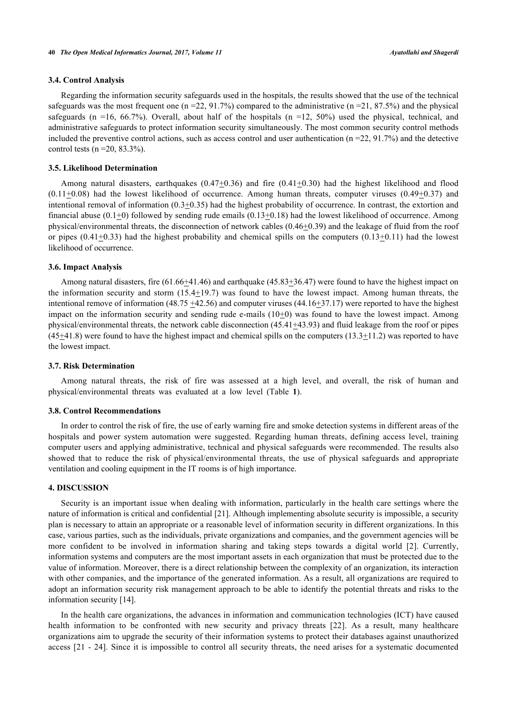### **3.4. Control Analysis**

Regarding the information security safeguards used in the hospitals, the results showed that the use of the technical safeguards was the most frequent one (n = 22, 91.7%) compared to the administrative (n =  $21, 87.5\%$ ) and the physical safeguards (n =16, 66.7%). Overall, about half of the hospitals (n =12, 50%) used the physical, technical, and administrative safeguards to protect information security simultaneously. The most common security control methods included the preventive control actions, such as access control and user authentication ( $n = 22, 91.7\%$ ) and the detective control tests ( $n = 20$ , 83.3%).

#### **3.5. Likelihood Determination**

Among natural disasters, earthquakes  $(0.47+0.36)$  and fire  $(0.41+0.30)$  had the highest likelihood and flood  $(0.11\pm0.08)$  had the lowest likelihood of occurrence. Among human threats, computer viruses  $(0.49\pm0.37)$  and intentional removal of information (0.3+0.35) had the highest probability of occurrence. In contrast, the extortion and financial abuse ( $0.1\pm0$ ) followed by sending rude emails ( $0.13\pm0.18$ ) had the lowest likelihood of occurrence. Among physical/environmental threats, the disconnection of network cables  $(0.46\pm0.39)$  and the leakage of fluid from the roof or pipes  $(0.41\pm0.33)$  had the highest probability and chemical spills on the computers  $(0.13\pm0.11)$  had the lowest likelihood of occurrence.

#### **3.6. Impact Analysis**

Among natural disasters, fire (61.66+41.46) and earthquake (45.83+36.47) were found to have the highest impact on the information security and storm  $(15.4 \pm 19.7)$  was found to have the lowest impact. Among human threats, the intentional remove of information  $(48.75 + 42.56)$  and computer viruses  $(44.16 + 37.17)$  were reported to have the highest impact on the information security and sending rude e-mails  $(10+0)$  was found to have the lowest impact. Among physical/environmental threats, the network cable disconnection (45.41+43.93) and fluid leakage from the roof or pipes  $(45+41.8)$  were found to have the highest impact and chemical spills on the computers  $(13.3+11.2)$  was reported to have the lowest impact.

#### **3.7. Risk Determination**

Among natural threats, the risk of fire was assessed at a high level, and overall, the risk of human and physical/environmental threats was evaluated at a low level (Table**1**).

#### **3.8. Control Recommendations**

In order to control the risk of fire, the use of early warning fire and smoke detection systems in different areas of the hospitals and power system automation were suggested. Regarding human threats, defining access level, training computer users and applying administrative, technical and physical safeguards were recommended. The results also showed that to reduce the risk of physical/environmental threats, the use of physical safeguards and appropriate ventilation and cooling equipment in the IT rooms is of high importance.

#### **4. DISCUSSION**

Security is an important issue when dealing with information, particularly in the health care settings where the nature of information is critical and confidential [\[21](#page-6-1)]. Although implementing absolute security is impossible, a security plan is necessary to attain an appropriate or a reasonable level of information security in different organizations. In this case, various parties, such as the individuals, private organizations and companies, and the government agencies will be more confident to be involved in information sharing and taking steps towards a digital world[[2\]](#page-5-1). Currently, information systems and computers are the most important assets in each organization that must be protected due to the value of information. Moreover, there is a direct relationship between the complexity of an organization, its interaction with other companies, and the importance of the generated information. As a result, all organizations are required to adopt an information security risk management approach to be able to identify the potential threats and risks to the information security [[14\]](#page-5-12).

In the health care organizations, the advances in information and communication technologies (ICT) have caused health information to be confronted with new security and privacy threats [\[22](#page-6-2)]. As a result, many healthcare organizations aim to upgrade the security of their information systems to protect their databases against unauthorized access [[21](#page-6-1) - [24\]](#page-6-3). Since it is impossible to control all security threats, the need arises for a systematic documented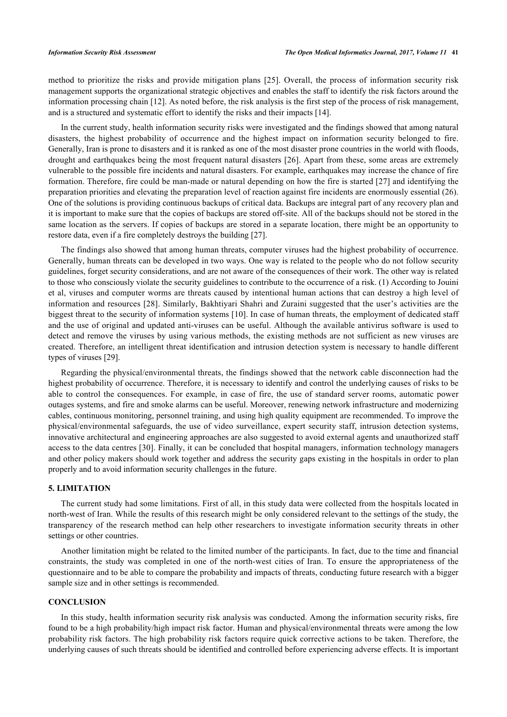method to prioritize the risks and provide mitigation plans[[25\]](#page-6-4). Overall, the process of information security risk management supports the organizational strategic objectives and enables the staff to identify the risk factors around the information processing chain [\[12](#page-5-17)]. As noted before, the risk analysis is the first step of the process of risk management, and is a structured and systematic effort to identify the risks and their impacts [\[14](#page-5-12)].

In the current study, health information security risks were investigated and the findings showed that among natural disasters, the highest probability of occurrence and the highest impact on information security belonged to fire. Generally, Iran is prone to disasters and it is ranked as one of the most disaster prone countries in the world with floods, drought and earthquakes being the most frequent natural disasters [\[26\]](#page-6-5). Apart from these, some areas are extremely vulnerable to the possible fire incidents and natural disasters. For example, earthquakes may increase the chance of fire formation. Therefore, fire could be man-made or natural depending on how the fire is started [[27\]](#page-6-6) and identifying the preparation priorities and elevating the preparation level of reaction against fire incidents are enormously essential (26). One of the solutions is providing continuous backups of critical data. Backups are integral part of any recovery plan and it is important to make sure that the copies of backups are stored off-site. All of the backups should not be stored in the same location as the servers. If copies of backups are stored in a separate location, there might be an opportunity to restore data, even if a fire completely destroys the building [\[27](#page-6-6)].

The findings also showed that among human threats, computer viruses had the highest probability of occurrence. Generally, human threats can be developed in two ways. One way is related to the people who do not follow security guidelines, forget security considerations, and are not aware of the consequences of their work. The other way is related to those who consciously violate the security guidelines to contribute to the occurrence of a risk. (1) According to Jouini et al, viruses and computer worms are threats caused by intentional human actions that can destroy a high level of information and resources [[28](#page-6-7)]. Similarly, Bakhtiyari Shahri and Zuraini suggested that the user's activities are the biggest threat to the security of information systems [\[10](#page-5-9)]. In case of human threats, the employment of dedicated staff and the use of original and updated anti-viruses can be useful. Although the available antivirus software is used to detect and remove the viruses by using various methods, the existing methods are not sufficient as new viruses are created. Therefore, an intelligent threat identification and intrusion detection system is necessary to handle different types of viruses [\[29](#page-6-8)].

Regarding the physical/environmental threats, the findings showed that the network cable disconnection had the highest probability of occurrence. Therefore, it is necessary to identify and control the underlying causes of risks to be able to control the consequences. For example, in case of fire, the use of standard server rooms, automatic power outages systems, and fire and smoke alarms can be useful. Moreover, renewing network infrastructure and modernizing cables, continuous monitoring, personnel training, and using high quality equipment are recommended. To improve the physical/environmental safeguards, the use of video surveillance, expert security staff, intrusion detection systems, innovative architectural and engineering approaches are also suggested to avoid external agents and unauthorized staff access to the data centres [[30\]](#page-6-9). Finally, it can be concluded that hospital managers, information technology managers and other policy makers should work together and address the security gaps existing in the hospitals in order to plan properly and to avoid information security challenges in the future.

#### **5. LIMITATION**

The current study had some limitations. First of all, in this study data were collected from the hospitals located in north-west of Iran. While the results of this research might be only considered relevant to the settings of the study, the transparency of the research method can help other researchers to investigate information security threats in other settings or other countries.

Another limitation might be related to the limited number of the participants. In fact, due to the time and financial constraints, the study was completed in one of the north-west cities of Iran. To ensure the appropriateness of the questionnaire and to be able to compare the probability and impacts of threats, conducting future research with a bigger sample size and in other settings is recommended.

#### **CONCLUSION**

In this study, health information security risk analysis was conducted. Among the information security risks, fire found to be a high probability/high impact risk factor. Human and physical/environmental threats were among the low probability risk factors. The high probability risk factors require quick corrective actions to be taken. Therefore, the underlying causes of such threats should be identified and controlled before experiencing adverse effects. It is important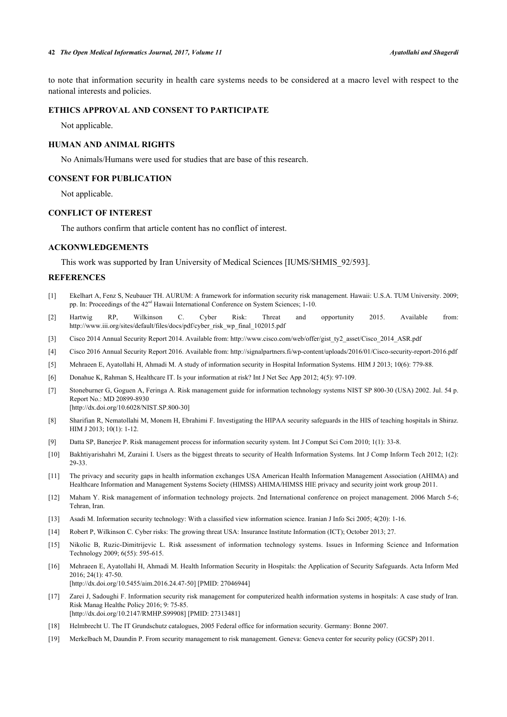to note that information security in health care systems needs to be considered at a macro level with respect to the national interests and policies.

#### **ETHICS APPROVAL AND CONSENT TO PARTICIPATE**

Not applicable.

### **HUMAN AND ANIMAL RIGHTS**

No Animals/Humans were used for studies that are base of this research.

#### **CONSENT FOR PUBLICATION**

Not applicable.

#### **CONFLICT OF INTEREST**

The authors confirm that article content has no conflict of interest.

#### **ACKONWLEDGEMENTS**

This work was supported by Iran University of Medical Sciences [IUMS/SHMIS\_92/593].

#### **REFERENCES**

- <span id="page-5-0"></span>[1] Ekelhart A, Fenz S, Neubauer TH. AURUM: A framework for information security risk management. Hawaii: U.S.A. TUM University. 2009; pp. In: Proceedings of the  $42<sup>nd</sup>$  Hawaii International Conference on System Sciences; 1-10.
- <span id="page-5-1"></span>[2] Hartwig RP, Wilkinson C. Cyber Risk: Threat and opportunity 2015. Available from: [http://www.iii.org/sites/default/files/docs/pdf/cyber\\_risk\\_wp\\_final\\_102015.pdf](http://www.iii.org/sites/default/files/docs/pdf/cyber_risk_wp_final_102015.pdf)
- <span id="page-5-2"></span>[3] Cisco 2014 Annual Security Report 2014. Available from: [http://www.cisco.com/web/offer/gist\\_ty2\\_asset/Cisco\\_2014\\_ASR.pdf](http://www.cisco.com/web/offer/gist_ty2_asset/Cisco_2014_ASR.pdf)
- <span id="page-5-3"></span>[4] Cisco 2016 Annual Security Report 2016. Available from: <http://signalpartners.fi/wp-content/uploads/2016/01/Cisco-security-report-2016.pdf>
- <span id="page-5-4"></span>[5] Mehraeen E, Ayatollahi H, Ahmadi M. A study of information security in Hospital Information Systems. HIM J 2013; 10(6): 779-88.
- <span id="page-5-5"></span>[6] Donahue K, Rahman S, Healthcare IT. Is your information at risk? Int J Net Sec App 2012; 4(5): 97-109.
- <span id="page-5-7"></span>[7] Stoneburner G, Goguen A, Feringa A. Risk management guide for information technology systems NIST SP 800-30 (USA) 2002. Jul. 54 p. Report No.: MD 20899-8930 [\[http://dx.doi.org/10.6028/NIST.SP.800-30](http://dx.doi.org/10.6028/NIST.SP.800-30)]
- <span id="page-5-6"></span>[8] Sharifian R, Nematollahi M, Monem H, Ebrahimi F. Investigating the HIPAA security safeguards in the HIS of teaching hospitals in Shiraz. HIM J 2013; 10(1): 1-12.
- <span id="page-5-8"></span>[9] Datta SP, Banerjee P. Risk management process for information security system. Int J Comput Sci Com 2010; 1(1): 33-8.
- <span id="page-5-9"></span>[10] Bakhtiyarishahri M, Zuraini I. Users as the biggest threats to security of Health Information Systems. Int J Comp Inform Tech 2012; 1(2): 29-33.
- <span id="page-5-10"></span>[11] The privacy and security gaps in health information exchanges USA American Health Information Management Association (AHIMA) and Healthcare Information and Management Systems Society (HIMSS) AHIMA/HIMSS HIE privacy and security joint work group 2011.
- <span id="page-5-17"></span>[12] Maham Y. Risk management of information technology projects. 2nd International conference on project management. 2006 March 5-6; Tehran, Iran.
- <span id="page-5-11"></span>[13] Asadi M. Information security technology: With a classified view information science. Iranian J Info Sci 2005; 4(20): 1-16.
- <span id="page-5-12"></span>[14] Robert P, Wilkinson C. Cyber risks: The growing threat USA: Insurance Institute Information (ICT); October 2013; 27.
- <span id="page-5-13"></span>[15] Nikolic B, Ruzic-Dimitrijevic L. Risk assessment of information technology systems. Issues in Informing Science and Information Technology 2009; 6(55): 595-615.
- <span id="page-5-14"></span>[16] Mehraeen E, Ayatollahi H, Ahmadi M. Health Information Security in Hospitals: the Application of Security Safeguards. Acta Inform Med 2016; 24(1): 47-50. [\[http://dx.doi.org/10.5455/aim.2016.24.47-50](http://dx.doi.org/10.5455/aim.2016.24.47-50)] [PMID: [27046944](http://www.ncbi.nlm.nih.gov/pubmed/27046944)]
- <span id="page-5-15"></span>[17] Zarei J, Sadoughi F. Information security risk management for computerized health information systems in hospitals: A case study of Iran. Risk Manag Healthc Policy 2016; 9: 75-85. [\[http://dx.doi.org/10.2147/RMHP.S99908\]](http://dx.doi.org/10.2147/RMHP.S99908) [PMID: [27313481](http://www.ncbi.nlm.nih.gov/pubmed/27313481)]
- <span id="page-5-16"></span>[18] Helmbrecht U. The IT Grundschutz catalogues, 2005 Federal office for information security. Germany: Bonne 2007.
- [19] Merkelbach M, Daundin P. From security management to risk management. Geneva: Geneva center for security policy (GCSP) 2011.